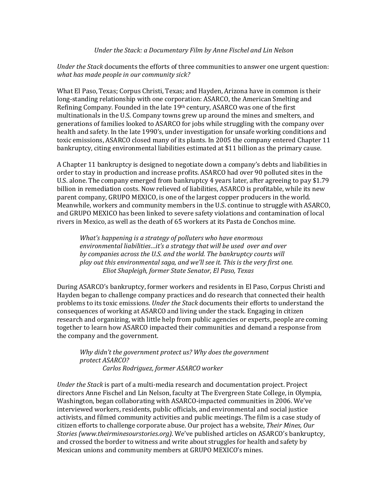## Under the Stack: a Documentary Film by Anne Fischel and Lin Nelson

*Under the Stack* documents the efforts of three communities to answer one urgent question: what has made people in our community sick?

What El Paso, Texas; Corpus Christi, Texas; and Hayden, Arizona have in common is their long-standing relationship with one corporation: ASARCO, the American Smelting and Refining Company. Founded in the late  $19<sup>th</sup>$  century, ASARCO was one of the first multinationals in the U.S. Company towns grew up around the mines and smelters, and generations of families looked to ASARCO for jobs while struggling with the company over health and safety. In the late 1990's, under investigation for unsafe working conditions and toxic emissions, ASARCO closed many of its plants. In 2005 the company entered Chapter 11 bankruptcy, citing environmental liabilities estimated at \$11 billion as the primary cause.

A Chapter 11 bankruptcy is designed to negotiate down a company's debts and liabilities in order to stay in production and increase profits. ASARCO had over 90 polluted sites in the U.S. alone. The company emerged from bankruptcy 4 years later, after agreeing to pay \$1.79 billion in remediation costs. Now relieved of liabilities, ASARCO is profitable, while its new parent company, GRUPO MEXICO, is one of the largest copper producers in the world. Meanwhile, workers and community members in the U.S. continue to struggle with ASARCO, and GRUPO MEXICO has been linked to severe safety violations and contamination of local rivers in Mexico, as well as the death of 65 workers at its Pasta de Conchos mine.

*What's* happening is a strategy of polluters who have enormous environmental liabilities...it's a strategy that will be used over and over by companies across the U.S. and the world. The bankruptcy courts will *play* out this environmental saga, and we'll see it. This is the very first one. *Eliot Shapleigh, former State Senator, El Paso, Texas*

During ASARCO's bankruptcy, former workers and residents in El Paso, Corpus Christi and Hayden began to challenge company practices and do research that connected their health problems to its toxic emissions. *Under the Stack* documents their efforts to understand the consequences of working at ASARCO and living under the stack. Engaging in citizen research and organizing, with little help from public agencies or experts, people are coming together to learn how ASARCO impacted their communities and demand a response from the company and the government.

*Why didn't the government protect us? Why does the government protect ASARCO? Carlos Rodriguez, former ASARCO worker*

*Under the Stack* is part of a multi-media research and documentation project. Project directors Anne Fischel and Lin Nelson, faculty at The Evergreen State College, in Olympia, Washington, began collaborating with ASARCO-impacted communities in 2006. We've interviewed workers, residents, public officials, and environmental and social justice activists, and filmed community activities and public meetings. The film is a case study of citizen efforts to challenge corporate abuse. Our project has a website, *Their Mines, Our Stories (www.theirminesourstories.org)*. We've published articles on ASARCO's bankruptcy, and crossed the border to witness and write about struggles for health and safety by Mexican unions and community members at GRUPO MEXICO's mines.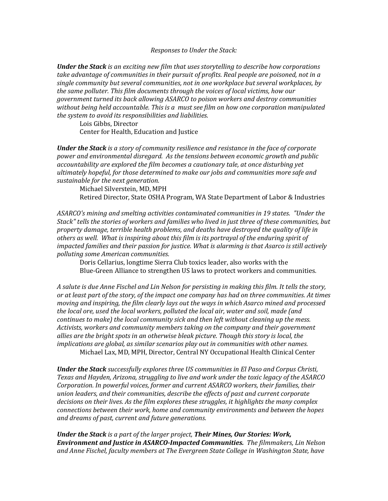*Responses to Under the Stack:* 

*Under the Stack is an exciting new film that uses storytelling to describe how corporations* take advantage of communities in their pursuit of profits. Real people are poisoned, not in a single community but several communities, not in one workplace but several workplaces, by the same polluter. This film documents through the voices of local victims, how our *government turned its back allowing ASARCO to poison workers and destroy communities* without being held accountable. This is a must see film on how one corporation manipulated *the system to avoid its responsibilities and liabilities.* 

Lois Gibbs, Director Center for Health, Education and Justice

*Under the Stack is a story of community resilience and resistance in the face of corporate* power and environmental disregard. As the tensions between economic growth and public accountability are explored the film becomes a cautionary tale, at once disturbing yet ultimately hopeful, for those determined to make our jobs and communities more safe and sustainable for the next generation.

Michael Silverstein, MD, MPH Retired Director, State OSHA Program, WA State Department of Labor & Industries

ASARCO's mining and smelting activities contaminated communities in 19 states. "Under the Stack" tells the stories of workers and families who lived in just three of these communities, but property damage, terrible health problems, and deaths have destroyed the quality of life in others as well. What is inspiring about this film is its portrayal of the enduring spirit of *impacted families and their passion for justice. What is alarming is that Asarco is still actively polluting some American communities.*

Doris Cellarius, longtime Sierra Club toxics leader, also works with the Blue-Green Alliance to strengthen US laws to protect workers and communities.

A salute is due Anne Fischel and Lin Nelson for persisting in making this film. It tells the story, *or* at least part of the story, of the impact one company has had on three communities. At times *moving and inspiring, the film clearly lays out the ways in which Asarco mined and processed* the local ore, used the local workers, polluted the local air, water and soil, made (and *continues to make)* the *local community sick and then left without cleaning up the mess.* Activists, workers and community members taking on the company and their government *allies* are the bright spots in an otherwise bleak picture. Though this story is local, the *implications are global, as similar scenarios play out in communities with other names.* Michael Lax, MD, MPH, Director, Central NY Occupational Health Clinical Center

*Under the Stack successfully explores three US communities in El Paso and Corpus Christi,* Texas and Hayden, Arizona, struggling to live and work under the toxic legacy of the ASARCO *Corporation. In powerful voices, former and current ASARCO workers, their families, their* union leaders, and their communities, describe the effects of past and current corporate decisions on their lives. As the film explores these struggles, it highlights the many complex *connections between their work, home and community environments and between the hopes* and dreams of past, current and future generations.

*Under the Stack is a part of the larger project, Their Mines, Our Stories: Work,* **Environment and Justice in ASARCO-Impacted Communities.** The filmmakers, Lin Nelson and Anne Fischel, faculty members at The Evergreen State College in Washington State, have